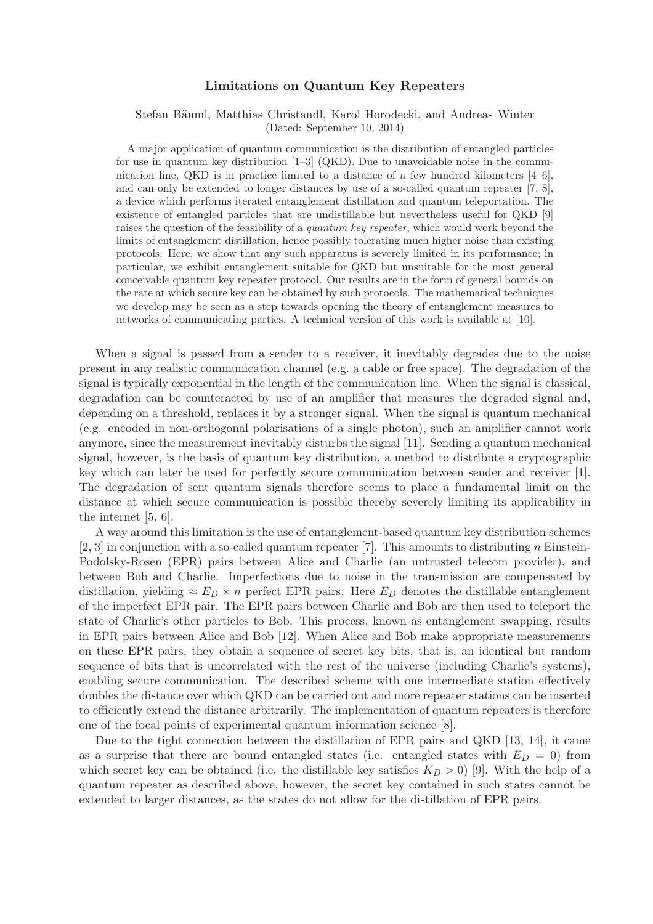## Limitations on Quantum Key Repeaters

## Stefan Bäuml, Matthias Christandl, Karol Horodecki, and Andreas Winter (Dated: September 10, 2014)

A major application of quantum communication is the distribution of entangled particles for use in quantum key distribution  $[1-3]$  (QKD). Due to unavoidable noise in the communication line, QKD is in practice limited to a distance of a few hundred kilometers [4–6], and can only be extended to longer distances by use of a so-called quantum repeater [7, 8], a device which performs iterated entanglement distillation and quantum teleportation. The existence of entangled particles that are undistillable but nevertheless useful for QKD [9] raises the question of the feasibility of a *quantum key repeater*, which would work beyond the limits of entanglement distillation, hence possibly tolerating much higher noise than existing protocols. Here, we show that any such apparatus is severely limited in its performance; in particular, we exhibit entanglement suitable for QKD but unsuitable for the most general conceivable quantum key repeater protocol. Our results are in the form of general bounds on the rate at which secure key can be obtained by such protocols. The mathematical techniques we develop may be seen as a step towards opening the theory of entanglement measures to networks of communicating parties. A technical version of this work is available at [10].

When a signal is passed from a sender to a receiver, it inevitably degrades due to the noise present in any realistic communication channel (e.g. a cable or free space). The degradation of the signal is typically exponential in the length of the communication line. When the signal is classical, degradation can be counteracted by use of an amplifier that measures the degraded signal and, depending on a threshold, replaces it by a stronger signal. When the signal is quantum mechanical (e.g. encoded in non-orthogonal polarisations of a single photon), such an amplifier cannot work anymore, since the measurement inevitably disturbs the signal [11]. Sending a quantum mechanical signal, however, is the basis of quantum key distribution, a method to distribute a cryptographic key which can later be used for perfectly secure communication between sender and receiver [1]. The degradation of sent quantum signals therefore seems to place a fundamental limit on the distance at which secure communication is possible thereby severely limiting its applicability in the internet [5, 6].

A way around this limitation is the use of entanglement-based quantum key distribution schemes  $[2, 3]$  in conjunction with a so-called quantum repeater [7]. This amounts to distributing n Einstein-Podolsky-Rosen (EPR) pairs between Alice and Charlie (an untrusted telecom provider), and between Bob and Charlie. Imperfections due to noise in the transmission are compensated by distillation, yielding  $\approx E_D \times n$  perfect EPR pairs. Here  $E_D$  denotes the distillable entanglement of the imperfect EPR pair. The EPR pairs between Charlie and Bob are then used to teleport the state of Charlie's other particles to Bob. This process, known as entanglement swapping, results in EPR pairs between Alice and Bob [12]. When Alice and Bob make appropriate measurements on these EPR pairs, they obtain a sequence of secret key bits, that is, an identical but random sequence of bits that is uncorrelated with the rest of the universe (including Charlie's systems), enabling secure communication. The described scheme with one intermediate station effectively doubles the distance over which QKD can be carried out and more repeater stations can be inserted to efficiently extend the distance arbitrarily. The implementation of quantum repeaters is therefore one of the focal points of experimental quantum information science [8].

Due to the tight connection between the distillation of EPR pairs and QKD [13, 14], it came as a surprise that there are bound entangled states (i.e. entangled states with  $E_D = 0$ ) from which secret key can be obtained (i.e. the distillable key satisfies  $K_D > 0$ ) [9]. With the help of a quantum repeater as described above, however, the secret key contained in such states cannot be extended to larger distances, as the states do not allow for the distillation of EPR pairs.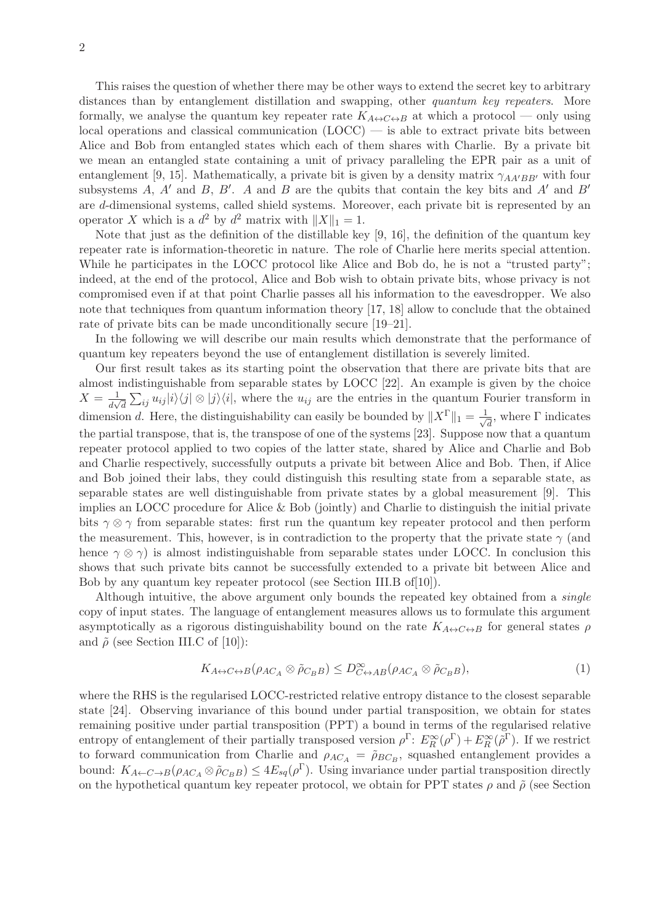This raises the question of whether there may be other ways to extend the secret key to arbitrary distances than by entanglement distillation and swapping, other quantum key repeaters. More formally, we analyse the quantum key repeater rate  $K_{A\leftrightarrow C\leftrightarrow B}$  at which a protocol — only using local operations and classical communication (LOCC) — is able to extract private bits between Alice and Bob from entangled states which each of them shares with Charlie. By a private bit we mean an entangled state containing a unit of privacy paralleling the EPR pair as a unit of entanglement [9, 15]. Mathematically, a private bit is given by a density matrix  $\gamma_{AA'BB'}$  with four subsystems A, A' and B, B'. A and B are the qubits that contain the key bits and A' and B' are d-dimensional systems, called shield systems. Moreover, each private bit is represented by an operator X which is a  $d^2$  by  $d^2$  matrix with  $||X||_1 = 1$ .

Note that just as the definition of the distillable key [9, 16], the definition of the quantum key repeater rate is information-theoretic in nature. The role of Charlie here merits special attention. While he participates in the LOCC protocol like Alice and Bob do, he is not a "trusted party"; indeed, at the end of the protocol, Alice and Bob wish to obtain private bits, whose privacy is not compromised even if at that point Charlie passes all his information to the eavesdropper. We also note that techniques from quantum information theory [17, 18] allow to conclude that the obtained rate of private bits can be made unconditionally secure [19–21].

In the following we will describe our main results which demonstrate that the performance of quantum key repeaters beyond the use of entanglement distillation is severely limited.

Our first result takes as its starting point the observation that there are private bits that are almost indistinguishable from separable states by LOCC [22]. An example is given by the choice  $X=\frac{1}{\lambda}$  $\frac{1}{d\sqrt{d}}\sum_{ij}u_{ij}|i\rangle\langle j|\otimes|j\rangle\langle i|$ , where the  $u_{ij}$  are the entries in the quantum Fourier transform in dimension d. Here, the distinguishability can easily be bounded by  $||X^{\Gamma}||_1 = \frac{1}{\sqrt{2\pi}}$  $\frac{1}{d}$ , where  $\Gamma$  indicates the partial transpose, that is, the transpose of one of the systems [23]. Suppose now that a quantum repeater protocol applied to two copies of the latter state, shared by Alice and Charlie and Bob and Charlie respectively, successfully outputs a private bit between Alice and Bob. Then, if Alice and Bob joined their labs, they could distinguish this resulting state from a separable state, as separable states are well distinguishable from private states by a global measurement [9]. This implies an LOCC procedure for Alice & Bob (jointly) and Charlie to distinguish the initial private bits  $\gamma \otimes \gamma$  from separable states: first run the quantum key repeater protocol and then perform the measurement. This, however, is in contradiction to the property that the private state  $\gamma$  (and hence  $\gamma \otimes \gamma$ ) is almost indistinguishable from separable states under LOCC. In conclusion this shows that such private bits cannot be successfully extended to a private bit between Alice and Bob by any quantum key repeater protocol (see Section III.B of[10]).

Although intuitive, the above argument only bounds the repeated key obtained from a *single* copy of input states. The language of entanglement measures allows us to formulate this argument asymptotically as a rigorous distinguishability bound on the rate  $K_{A\leftrightarrow C\leftrightarrow B}$  for general states  $\rho$ and  $\tilde{\rho}$  (see Section III.C of [10]):

$$
K_{A \leftrightarrow C \leftrightarrow B}(\rho_{AC_A} \otimes \tilde{\rho}_{C_B B}) \le D_{C \leftrightarrow AB}^{\infty}(\rho_{AC_A} \otimes \tilde{\rho}_{C_B B}), \tag{1}
$$

where the RHS is the regularised LOCC-restricted relative entropy distance to the closest separable state [24]. Observing invariance of this bound under partial transposition, we obtain for states remaining positive under partial transposition (PPT) a bound in terms of the regularised relative entropy of entanglement of their partially transposed version  $\rho^{\Gamma}$ :  $E_R^{\infty}(\rho^{\Gamma}) + E_R^{\infty}(\tilde{\rho}^{\Gamma})$ . If we restrict to forward communication from Charlie and  $\rho_{AC_A} = \tilde{\rho}_{BC_B}$ , squashed entanglement provides a bound:  $K_{A\leftarrow C\rightarrow B}(\rho_{AC_A}\otimes \tilde{\rho}_{C_B B}) \leq 4E_{sq}(\rho^{\Gamma}).$  Using invariance under partial transposition directly on the hypothetical quantum key repeater protocol, we obtain for PPT states  $\rho$  and  $\tilde{\rho}$  (see Section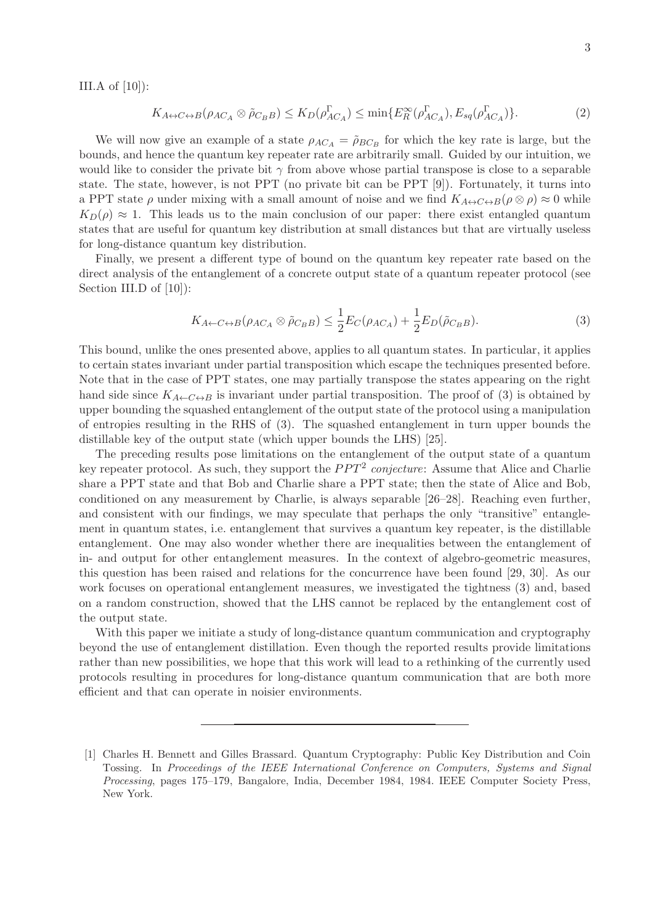III.A of  $[10]$ :

$$
K_{A \leftrightarrow C \leftrightarrow B}(\rho_{AC_A} \otimes \tilde{\rho}_{C_B B}) \le K_D(\rho_{AC_A}^{\Gamma}) \le \min\{E_R^{\infty}(\rho_{AC_A}^{\Gamma}), E_{sq}(\rho_{AC_A}^{\Gamma})\}.
$$
 (2)

We will now give an example of a state  $\rho_{AC_A} = \tilde{\rho}_{BC_B}$  for which the key rate is large, but the bounds, and hence the quantum key repeater rate are arbitrarily small. Guided by our intuition, we would like to consider the private bit  $\gamma$  from above whose partial transpose is close to a separable state. The state, however, is not PPT (no private bit can be PPT [9]). Fortunately, it turns into a PPT state  $\rho$  under mixing with a small amount of noise and we find  $K_{A \leftrightarrow C \leftrightarrow B}(\rho \otimes \rho) \approx 0$  while  $K_D(\rho) \approx 1$ . This leads us to the main conclusion of our paper: there exist entangled quantum states that are useful for quantum key distribution at small distances but that are virtually useless for long-distance quantum key distribution.

Finally, we present a different type of bound on the quantum key repeater rate based on the direct analysis of the entanglement of a concrete output state of a quantum repeater protocol (see Section III.D of [10]):

$$
K_{A \leftarrow C \leftrightarrow B}(\rho_{AC_A} \otimes \tilde{\rho}_{C_B B}) \le \frac{1}{2} E_C(\rho_{AC_A}) + \frac{1}{2} E_D(\tilde{\rho}_{C_B B}). \tag{3}
$$

This bound, unlike the ones presented above, applies to all quantum states. In particular, it applies to certain states invariant under partial transposition which escape the techniques presented before. Note that in the case of PPT states, one may partially transpose the states appearing on the right hand side since  $K_{A\leftarrow C\leftrightarrow B}$  is invariant under partial transposition. The proof of (3) is obtained by upper bounding the squashed entanglement of the output state of the protocol using a manipulation of entropies resulting in the RHS of (3). The squashed entanglement in turn upper bounds the distillable key of the output state (which upper bounds the LHS) [25].

The preceding results pose limitations on the entanglement of the output state of a quantum key repeater protocol. As such, they support the  $PPT^2$  conjecture: Assume that Alice and Charlie share a PPT state and that Bob and Charlie share a PPT state; then the state of Alice and Bob, conditioned on any measurement by Charlie, is always separable [26–28]. Reaching even further, and consistent with our findings, we may speculate that perhaps the only "transitive" entanglement in quantum states, i.e. entanglement that survives a quantum key repeater, is the distillable entanglement. One may also wonder whether there are inequalities between the entanglement of in- and output for other entanglement measures. In the context of algebro-geometric measures, this question has been raised and relations for the concurrence have been found [29, 30]. As our work focuses on operational entanglement measures, we investigated the tightness (3) and, based on a random construction, showed that the LHS cannot be replaced by the entanglement cost of the output state.

With this paper we initiate a study of long-distance quantum communication and cryptography beyond the use of entanglement distillation. Even though the reported results provide limitations rather than new possibilities, we hope that this work will lead to a rethinking of the currently used protocols resulting in procedures for long-distance quantum communication that are both more efficient and that can operate in noisier environments.

<sup>[1]</sup> Charles H. Bennett and Gilles Brassard. Quantum Cryptography: Public Key Distribution and Coin Tossing. In Proceedings of the IEEE International Conference on Computers, Systems and Signal Processing, pages 175–179, Bangalore, India, December 1984, 1984. IEEE Computer Society Press, New York.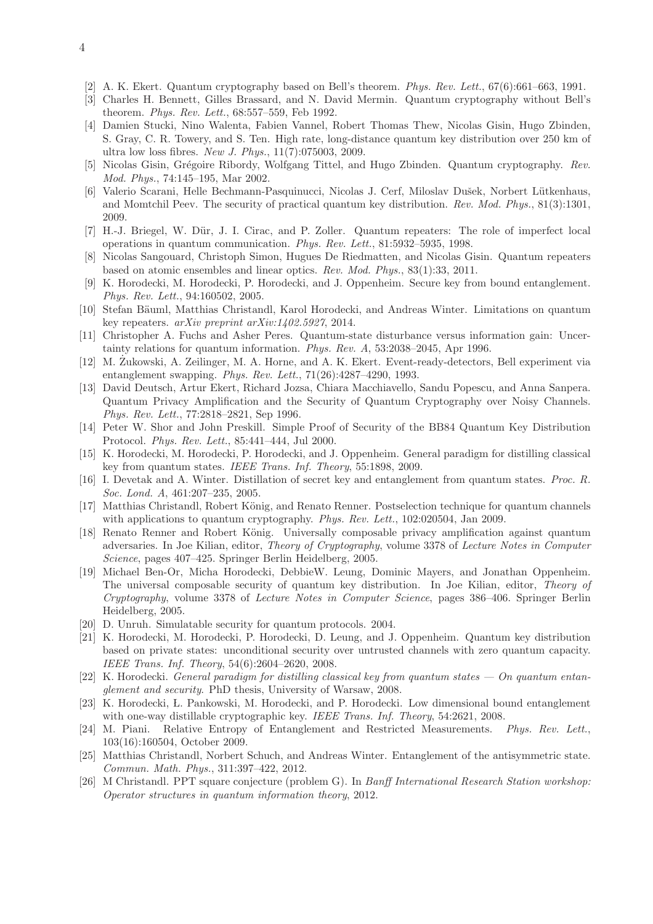- [2] A. K. Ekert. Quantum cryptography based on Bell's theorem. Phys. Rev. Lett., 67(6):661–663, 1991.
- [3] Charles H. Bennett, Gilles Brassard, and N. David Mermin. Quantum cryptography without Bell's theorem. Phys. Rev. Lett., 68:557–559, Feb 1992.
- [4] Damien Stucki, Nino Walenta, Fabien Vannel, Robert Thomas Thew, Nicolas Gisin, Hugo Zbinden, S. Gray, C. R. Towery, and S. Ten. High rate, long-distance quantum key distribution over 250 km of ultra low loss fibres. New J. Phys., 11(7):075003, 2009.
- [5] Nicolas Gisin, Grégoire Ribordy, Wolfgang Tittel, and Hugo Zbinden. Quantum cryptography. Rev. Mod. Phys., 74:145–195, Mar 2002.
- [6] Valerio Scarani, Helle Bechmann-Pasquinucci, Nicolas J. Cerf, Miloslav Dušek, Norbert Lütkenhaus, and Momtchil Peev. The security of practical quantum key distribution. Rev. Mod. Phys., 81(3):1301, 2009.
- [7] H.-J. Briegel, W. D¨ur, J. I. Cirac, and P. Zoller. Quantum repeaters: The role of imperfect local operations in quantum communication. Phys. Rev. Lett., 81:5932–5935, 1998.
- [8] Nicolas Sangouard, Christoph Simon, Hugues De Riedmatten, and Nicolas Gisin. Quantum repeaters based on atomic ensembles and linear optics. Rev. Mod. Phys., 83(1):33, 2011.
- [9] K. Horodecki, M. Horodecki, P. Horodecki, and J. Oppenheim. Secure key from bound entanglement. Phys. Rev. Lett., 94:160502, 2005.
- [10] Stefan Bäuml, Matthias Christandl, Karol Horodecki, and Andreas Winter. Limitations on quantum key repeaters. arXiv preprint arXiv:1402.5927, 2014.
- [11] Christopher A. Fuchs and Asher Peres. Quantum-state disturbance versus information gain: Uncertainty relations for quantum information. Phys. Rev. A, 53:2038–2045, Apr 1996.
- [12] M. Zukowski, A. Zeilinger, M. A. Horne, and A. K. Ekert. Event-ready-detectors, Bell experiment via entanglement swapping. Phys. Rev. Lett., 71(26):4287–4290, 1993.
- [13] David Deutsch, Artur Ekert, Richard Jozsa, Chiara Macchiavello, Sandu Popescu, and Anna Sanpera. Quantum Privacy Amplification and the Security of Quantum Cryptography over Noisy Channels. Phys. Rev. Lett., 77:2818–2821, Sep 1996.
- [14] Peter W. Shor and John Preskill. Simple Proof of Security of the BB84 Quantum Key Distribution Protocol. Phys. Rev. Lett., 85:441–444, Jul 2000.
- [15] K. Horodecki, M. Horodecki, P. Horodecki, and J. Oppenheim. General paradigm for distilling classical key from quantum states. IEEE Trans. Inf. Theory, 55:1898, 2009.
- [16] I. Devetak and A. Winter. Distillation of secret key and entanglement from quantum states. Proc. R. Soc. Lond. A, 461:207–235, 2005.
- [17] Matthias Christandl, Robert König, and Renato Renner. Postselection technique for quantum channels with applications to quantum cryptography. Phys. Rev. Lett., 102:020504, Jan 2009.
- [18] Renato Renner and Robert König. Universally composable privacy amplification against quantum adversaries. In Joe Kilian, editor, Theory of Cryptography, volume 3378 of Lecture Notes in Computer Science, pages 407–425. Springer Berlin Heidelberg, 2005.
- [19] Michael Ben-Or, Micha Horodecki, DebbieW. Leung, Dominic Mayers, and Jonathan Oppenheim. The universal composable security of quantum key distribution. In Joe Kilian, editor, Theory of Cryptography, volume 3378 of Lecture Notes in Computer Science, pages 386–406. Springer Berlin Heidelberg, 2005.
- [20] D. Unruh. Simulatable security for quantum protocols. 2004.
- [21] K. Horodecki, M. Horodecki, P. Horodecki, D. Leung, and J. Oppenheim. Quantum key distribution based on private states: unconditional security over untrusted channels with zero quantum capacity. IEEE Trans. Inf. Theory, 54(6):2604–2620, 2008.
- [22] K. Horodecki. General paradigm for distilling classical key from quantum states  $-$  On quantum entanglement and security. PhD thesis, University of Warsaw, 2008.
- [23] K. Horodecki, L. Pankowski, M. Horodecki, and P. Horodecki. Low dimensional bound entanglement with one-way distillable cryptographic key. IEEE Trans. Inf. Theory, 54:2621, 2008.
- [24] M. Piani. Relative Entropy of Entanglement and Restricted Measurements. Phys. Rev. Lett., 103(16):160504, October 2009.
- [25] Matthias Christandl, Norbert Schuch, and Andreas Winter. Entanglement of the antisymmetric state. Commun. Math. Phys., 311:397–422, 2012.
- [26] M Christandl. PPT square conjecture (problem G). In Banff International Research Station workshop: Operator structures in quantum information theory, 2012.